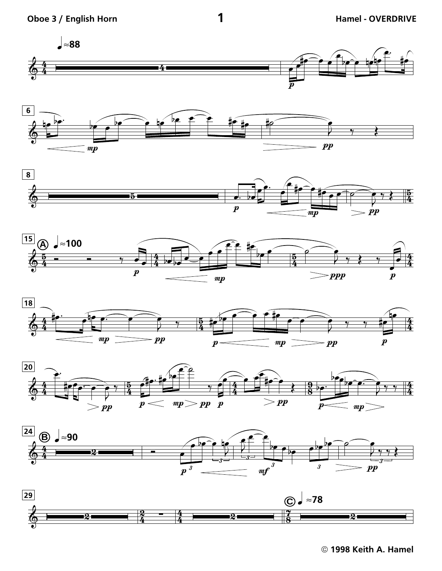













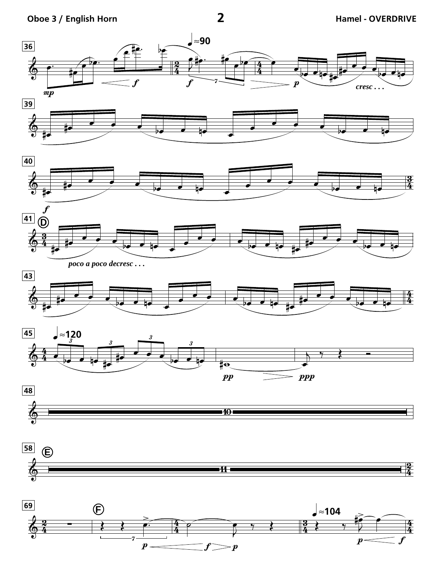Oboe 3 / English Horn 2 2 and Hamel - OVERDRIVE

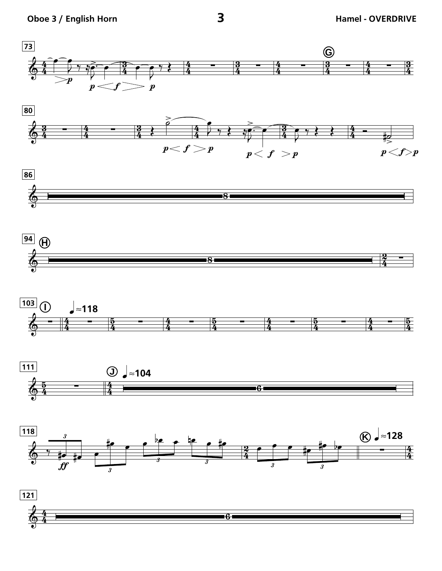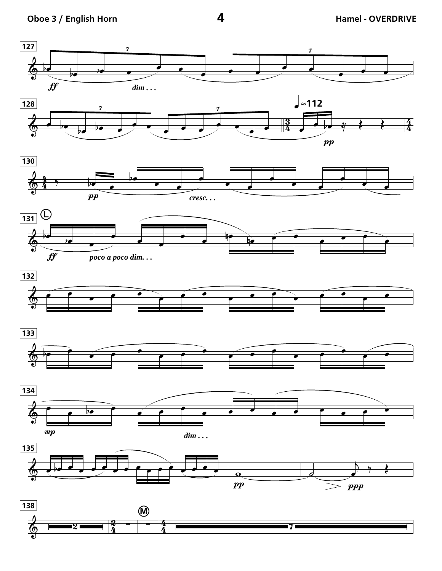Oboe 3 / English Horn **A** and A and A and A control Hamel - OVERDRIVE

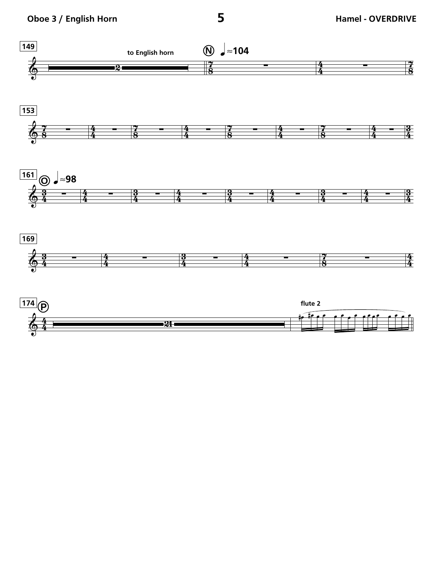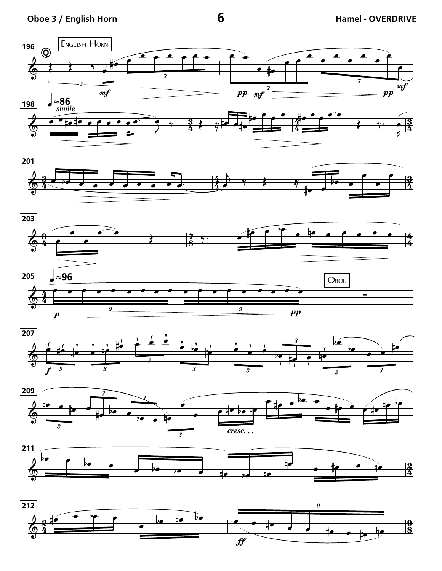Oboe 3 / English Horn **6** 6 and Hamel - OVERDRIVE

 $\bigcirc$ 

 $\frac{2}{4}$ 

 $\frac{9}{5}$ <u>ข</u><br>8